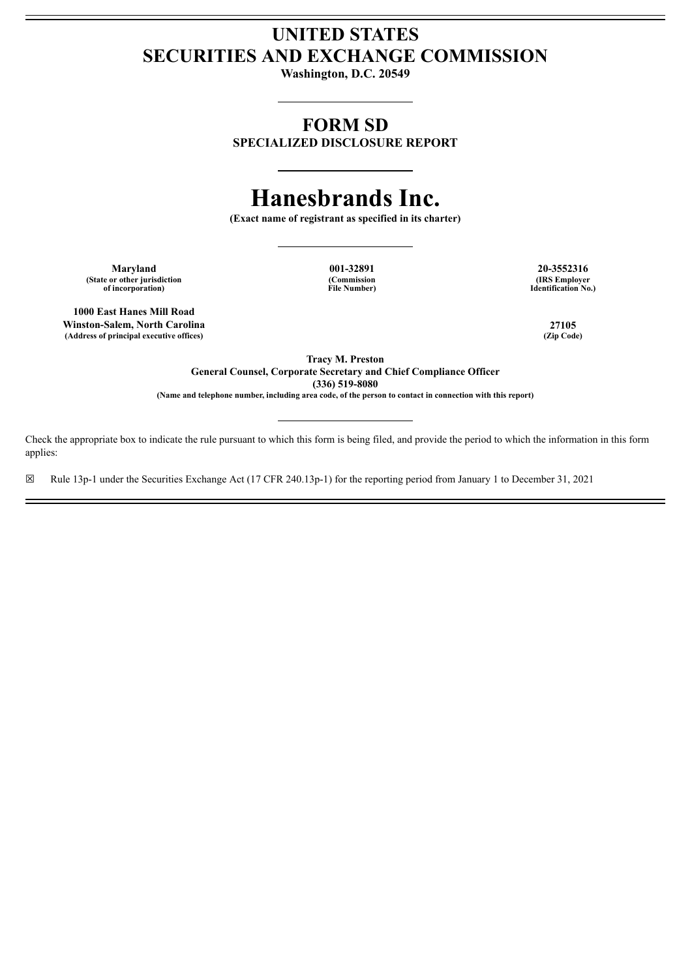## **UNITED STATES SECURITIES AND EXCHANGE COMMISSION**

**Washington, D.C. 20549**

### **FORM SD**

**SPECIALIZED DISCLOSURE REPORT**

# **Hanesbrands Inc.**

**(Exact name of registrant as specified in its charter)**

**Maryland 001-32891 20-3552316 (State or other jurisdiction of incorporation)**

**(Commission File Number)**

**(IRS Employer Identification No.)**

**1000 East Hanes Mill Road Winston-Salem, North Carolina 27105**  $(A$ ddress of principal executive offices)

**Tracy M. Preston General Counsel, Corporate Secretary and Chief Compliance Officer (336) 519-8080 (Name and telephone number, including area code, of the person to contact in connection with this report)**

Check the appropriate box to indicate the rule pursuant to which this form is being filed, and provide the period to which the information in this form applies:

☒ Rule 13p-1 under the Securities Exchange Act (17 CFR 240.13p-1) for the reporting period from January 1 to December 31, 2021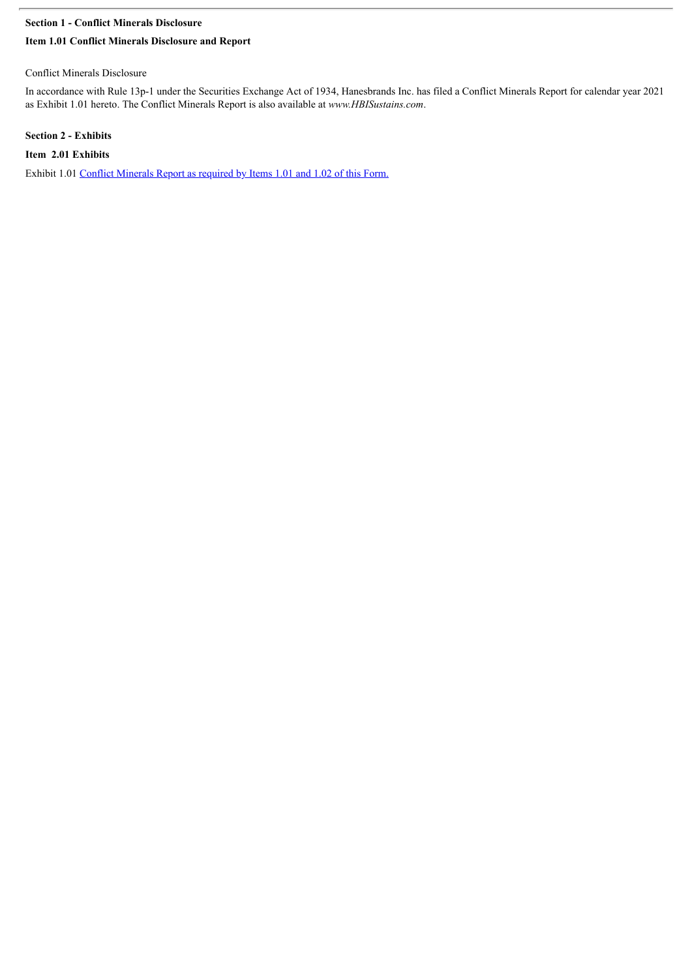#### **Section 1 - Conflict Minerals Disclosure**

#### **Item 1.01 Conflict Minerals Disclosure and Report**

#### Conflict Minerals Disclosure

In accordance with Rule 13p-1 under the Securities Exchange Act of 1934, Hanesbrands Inc. has filed a Conflict Minerals Report for calendar year 2021 as Exhibit 1.01 hereto. The Conflict Minerals Report is also available at *www.HBISustains.com*.

#### **Section 2 - Exhibits**

**Item 2.01 Exhibits**

Exhibit 1.01 Conflict [Minerals](#page-3-0) Report as required by Items 1.01 and 1.02 of this Form.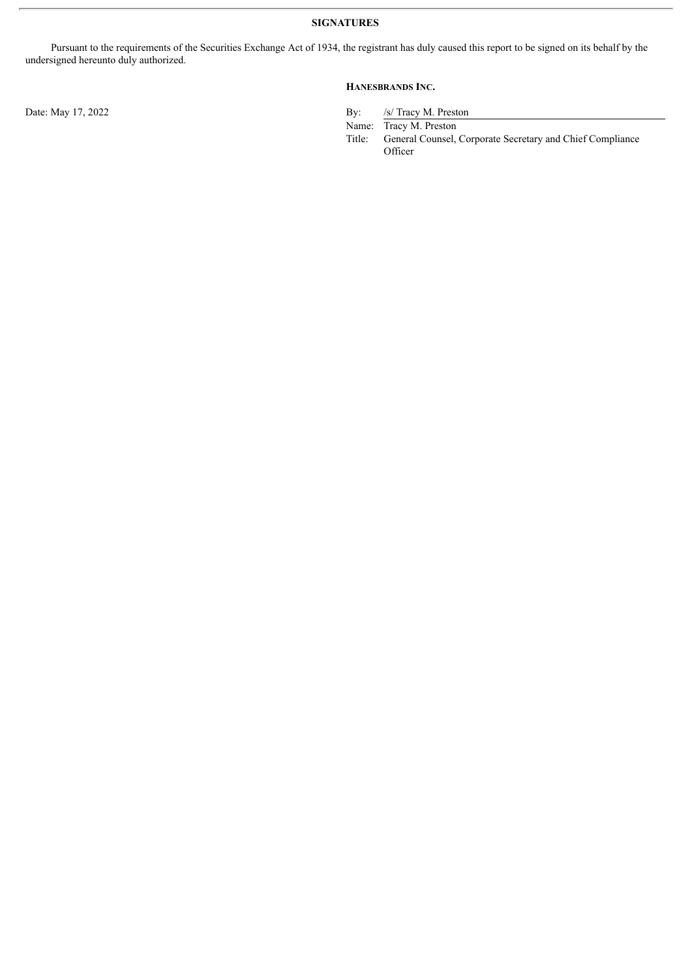Pursuant to the requirements of the Securities Exchange Act of 1934, the registrant has duly caused this report to be signed on its behalf by the undersigned hereunto duly authorized.

#### **HANESBRANDS INC.**

Date: May 17, 2022 By: /s/ Tracy M. Preston

Name: Tracy M. Preston<br>Title: General Counsel, General Counsel, Corporate Secretary and Chief Compliance **Officer**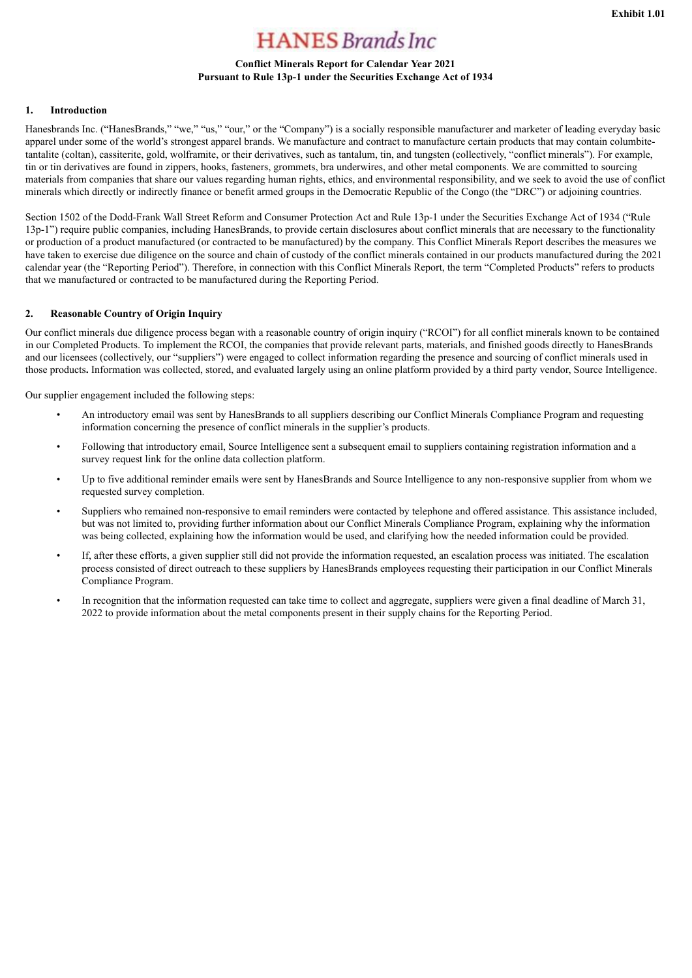## **HANES** Brands Inc

#### **Conflict Minerals Report for Calendar Year 2021 Pursuant to Rule 13p-1 under the Securities Exchange Act of 1934**

#### <span id="page-3-0"></span>**1. Introduction**

Hanesbrands Inc. ("HanesBrands," "we," "us," "our," or the "Company") is a socially responsible manufacturer and marketer of leading everyday basic apparel under some of the world's strongest apparel brands. We manufacture and contract to manufacture certain products that may contain columbitetantalite (coltan), cassiterite, gold, wolframite, or their derivatives, such as tantalum, tin, and tungsten (collectively, "conflict minerals"). For example, tin or tin derivatives are found in zippers, hooks, fasteners, grommets, bra underwires, and other metal components. We are committed to sourcing materials from companies that share our values regarding human rights, ethics, and environmental responsibility, and we seek to avoid the use of conflict minerals which directly or indirectly finance or benefit armed groups in the Democratic Republic of the Congo (the "DRC") or adjoining countries.

Section 1502 of the Dodd-Frank Wall Street Reform and Consumer Protection Act and Rule 13p-1 under the Securities Exchange Act of 1934 ("Rule 13p-1") require public companies, including HanesBrands, to provide certain disclosures about conflict minerals that are necessary to the functionality or production of a product manufactured (or contracted to be manufactured) by the company. This Conflict Minerals Report describes the measures we have taken to exercise due diligence on the source and chain of custody of the conflict minerals contained in our products manufactured during the 2021 calendar year (the "Reporting Period"). Therefore, in connection with this Conflict Minerals Report, the term "Completed Products" refers to products that we manufactured or contracted to be manufactured during the Reporting Period.

#### **2. Reasonable Country of Origin Inquiry**

Our conflict minerals due diligence process began with a reasonable country of origin inquiry ("RCOI") for all conflict minerals known to be contained in our Completed Products. To implement the RCOI, the companies that provide relevant parts, materials, and finished goods directly to HanesBrands and our licensees (collectively, our "suppliers") were engaged to collect information regarding the presence and sourcing of conflict minerals used in those products**.** Information was collected, stored, and evaluated largely using an online platform provided by a third party vendor, Source Intelligence.

Our supplier engagement included the following steps:

- An introductory email was sent by HanesBrands to all suppliers describing our Conflict Minerals Compliance Program and requesting information concerning the presence of conflict minerals in the supplier's products.
- Following that introductory email, Source Intelligence sent a subsequent email to suppliers containing registration information and a survey request link for the online data collection platform.
- Up to five additional reminder emails were sent by HanesBrands and Source Intelligence to any non-responsive supplier from whom we requested survey completion.
- Suppliers who remained non-responsive to email reminders were contacted by telephone and offered assistance. This assistance included, but was not limited to, providing further information about our Conflict Minerals Compliance Program, explaining why the information was being collected, explaining how the information would be used, and clarifying how the needed information could be provided.
- If, after these efforts, a given supplier still did not provide the information requested, an escalation process was initiated. The escalation process consisted of direct outreach to these suppliers by HanesBrands employees requesting their participation in our Conflict Minerals Compliance Program.
- In recognition that the information requested can take time to collect and aggregate, suppliers were given a final deadline of March 31, 2022 to provide information about the metal components present in their supply chains for the Reporting Period.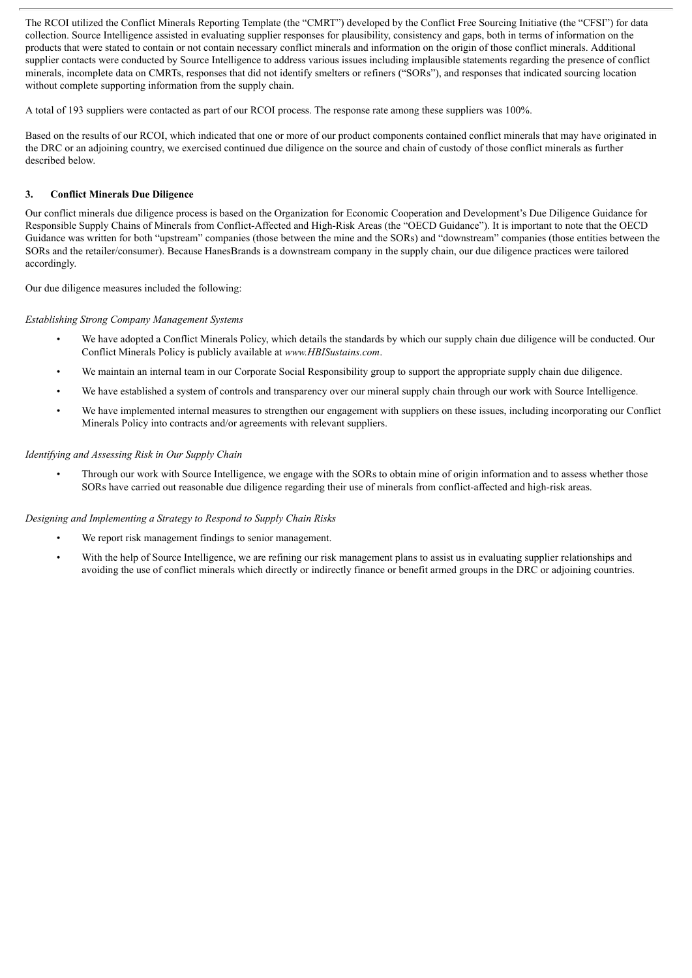The RCOI utilized the Conflict Minerals Reporting Template (the "CMRT") developed by the Conflict Free Sourcing Initiative (the "CFSI") for data collection. Source Intelligence assisted in evaluating supplier responses for plausibility, consistency and gaps, both in terms of information on the products that were stated to contain or not contain necessary conflict minerals and information on the origin of those conflict minerals. Additional supplier contacts were conducted by Source Intelligence to address various issues including implausible statements regarding the presence of conflict minerals, incomplete data on CMRTs, responses that did not identify smelters or refiners ("SORs"), and responses that indicated sourcing location without complete supporting information from the supply chain.

A total of 193 suppliers were contacted as part of our RCOI process. The response rate among these suppliers was 100%.

Based on the results of our RCOI, which indicated that one or more of our product components contained conflict minerals that may have originated in the DRC or an adjoining country, we exercised continued due diligence on the source and chain of custody of those conflict minerals as further described below.

#### **3. Conflict Minerals Due Diligence**

Our conflict minerals due diligence process is based on the Organization for Economic Cooperation and Development's Due Diligence Guidance for Responsible Supply Chains of Minerals from Conflict-Affected and High-Risk Areas (the "OECD Guidance"). It is important to note that the OECD Guidance was written for both "upstream" companies (those between the mine and the SORs) and "downstream" companies (those entities between the SORs and the retailer/consumer). Because HanesBrands is a downstream company in the supply chain, our due diligence practices were tailored accordingly.

Our due diligence measures included the following:

#### *Establishing Strong Company Management Systems*

- We have adopted a Conflict Minerals Policy, which details the standards by which our supply chain due diligence will be conducted. Our Conflict Minerals Policy is publicly available at *www.HBISustains.com*.
- We maintain an internal team in our Corporate Social Responsibility group to support the appropriate supply chain due diligence.
- We have established a system of controls and transparency over our mineral supply chain through our work with Source Intelligence.
- We have implemented internal measures to strengthen our engagement with suppliers on these issues, including incorporating our Conflict Minerals Policy into contracts and/or agreements with relevant suppliers.

#### *Identifying and Assessing Risk in Our Supply Chain*

• Through our work with Source Intelligence, we engage with the SORs to obtain mine of origin information and to assess whether those SORs have carried out reasonable due diligence regarding their use of minerals from conflict-affected and high-risk areas.

#### *Designing and Implementing a Strategy to Respond to Supply Chain Risks*

- We report risk management findings to senior management.
- With the help of Source Intelligence, we are refining our risk management plans to assist us in evaluating supplier relationships and avoiding the use of conflict minerals which directly or indirectly finance or benefit armed groups in the DRC or adjoining countries.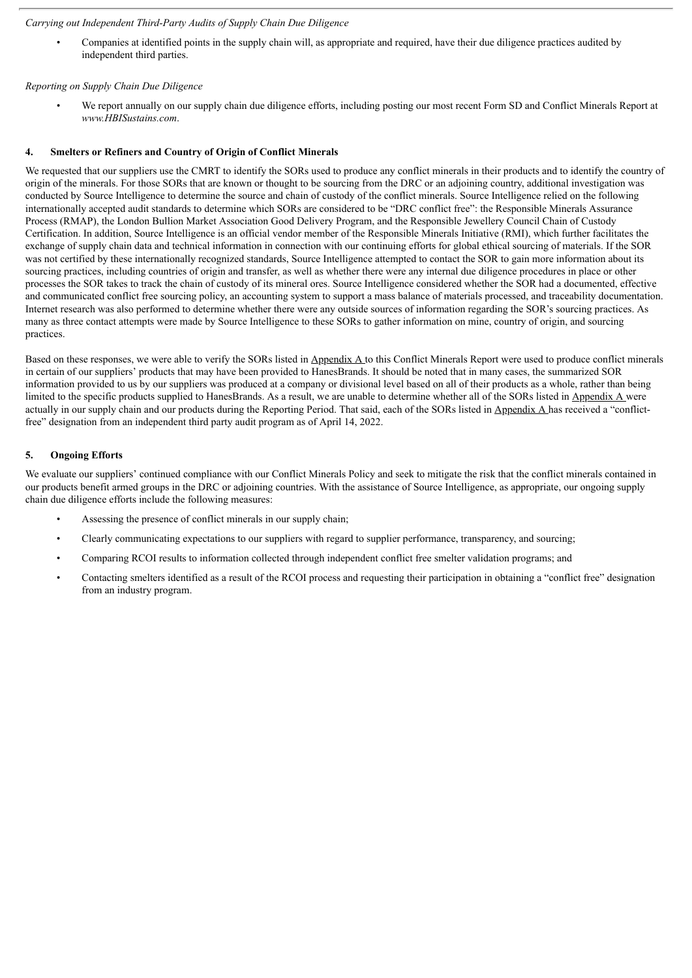#### *Carrying out Independent Third-Party Audits of Supply Chain Due Diligence*

• Companies at identified points in the supply chain will, as appropriate and required, have their due diligence practices audited by independent third parties.

#### *Reporting on Supply Chain Due Diligence*

We report annually on our supply chain due diligence efforts, including posting our most recent Form SD and Conflict Minerals Report at *www.HBISustains.com*.

#### **4. Smelters or Refiners and Country of Origin of Conflict Minerals**

We requested that our suppliers use the CMRT to identify the SORs used to produce any conflict minerals in their products and to identify the country of origin of the minerals. For those SORs that are known or thought to be sourcing from the DRC or an adjoining country, additional investigation was conducted by Source Intelligence to determine the source and chain of custody of the conflict minerals. Source Intelligence relied on the following internationally accepted audit standards to determine which SORs are considered to be "DRC conflict free": the Responsible Minerals Assurance Process (RMAP), the London Bullion Market Association Good Delivery Program, and the Responsible Jewellery Council Chain of Custody Certification. In addition, Source Intelligence is an official vendor member of the Responsible Minerals Initiative (RMI), which further facilitates the exchange of supply chain data and technical information in connection with our continuing efforts for global ethical sourcing of materials. If the SOR was not certified by these internationally recognized standards, Source Intelligence attempted to contact the SOR to gain more information about its sourcing practices, including countries of origin and transfer, as well as whether there were any internal due diligence procedures in place or other processes the SOR takes to track the chain of custody of its mineral ores. Source Intelligence considered whether the SOR had a documented, effective and communicated conflict free sourcing policy, an accounting system to support a mass balance of materials processed, and traceability documentation. Internet research was also performed to determine whether there were any outside sources of information regarding the SOR's sourcing practices. As many as three contact attempts were made by Source Intelligence to these SORs to gather information on mine, country of origin, and sourcing practices.

Based on these responses, we were able to verify the SORs listed in Appendix A to this Conflict Minerals Report were used to produce conflict minerals in certain of our suppliers' products that may have been provided to HanesBrands. It should be noted that in many cases, the summarized SOR information provided to us by our suppliers was produced at a company or divisional level based on all of their products as a whole, rather than being limited to the specific products supplied to HanesBrands. As a result, we are unable to determine whether all of the SORs listed in Appendix A were actually in our supply chain and our products during the Reporting Period. That said, each of the SORs listed in Appendix A has received a "conflictfree" designation from an independent third party audit program as of April 14, 2022.

#### **5. Ongoing Efforts**

We evaluate our suppliers' continued compliance with our Conflict Minerals Policy and seek to mitigate the risk that the conflict minerals contained in our products benefit armed groups in the DRC or adjoining countries. With the assistance of Source Intelligence, as appropriate, our ongoing supply chain due diligence efforts include the following measures:

- Assessing the presence of conflict minerals in our supply chain;
- Clearly communicating expectations to our suppliers with regard to supplier performance, transparency, and sourcing;
- Comparing RCOI results to information collected through independent conflict free smelter validation programs; and
- Contacting smelters identified as a result of the RCOI process and requesting their participation in obtaining a "conflict free" designation from an industry program.